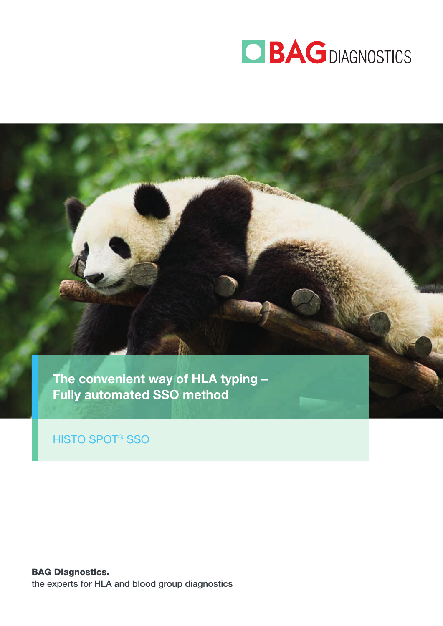

The convenient way of HLA typing – Fully automated SSO method

## HISTO SPOT® SSO

BAG Diagnostics. the experts for HLA and blood group diagnostics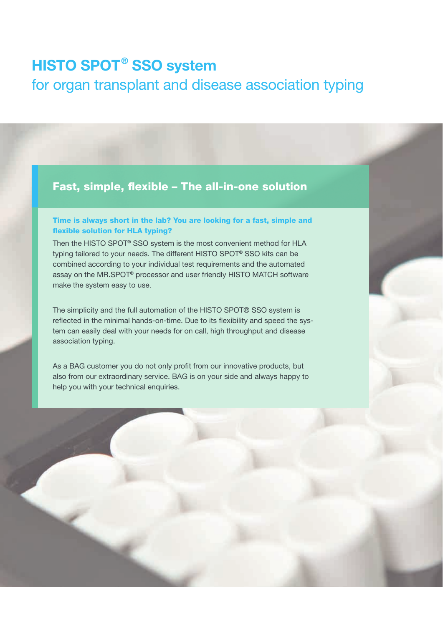# HISTO SPOT<sup>®</sup> SSO system

# for organ transplant and disease association typing

### Fast, simple, flexible - The all-in-one solution

#### Time is always short in the lab? You are looking for a fast, simple and flexible solution for HLA typing?

Then the HISTO SPOT® SSO system is the most convenient method for HLA typing tailored to your needs. The different HISTO SPOT® SSO kits can be combined according to your individual test requirements and the automated assay on the MR.SPOT® processor and user friendly HISTO MATCH software make the system easy to use.

The simplicity and the full automation of the HISTO SPOT® SSO system is reflected in the minimal hands-on-time. Due to its flexibility and speed the system can easily deal with your needs for on call, high throughput and disease association typing.

As a BAG customer you do not only profit from our innovative products, but also from our extraordinary service. BAG is on your side and always happy to help you with your technical enquiries.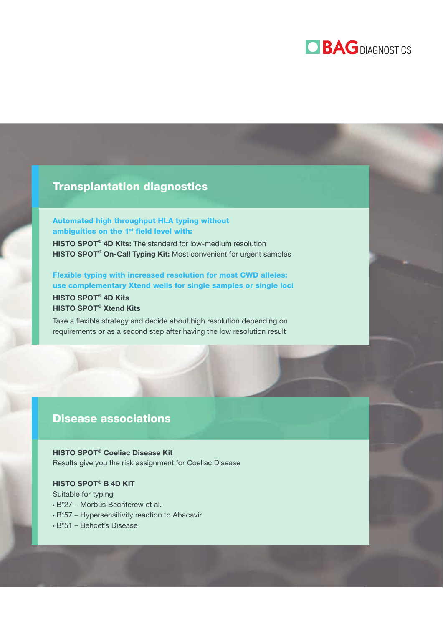# **OBAGDIAGNOSTICS**

### Transplantation diagnostics

#### Automated high throughput HLA typing without ambiguities on the 1<sup>st</sup> field level with:

HISTO SPOT<sup>®</sup> 4D Kits: The standard for low-medium resolution HISTO SPOT<sup>®</sup> On-Call Typing Kit: Most convenient for urgent samples

Flexible typing with increased resolution for most CWD alleles: use complementary Xtend wells for single samples or single loci HISTO SPOT<sup>®</sup> 4D Kits

## HISTO SPOT<sup>®</sup> Xtend Kits

Take a flexible strategy and decide about high resolution depending on requirements or as a second step after having the low resolution result

### Disease associations

HISTO SPOT<sup>®</sup> Coeliac Disease Kit Results give you the risk assignment for Coeliac Disease

#### HISTO SPOT<sup>®</sup> B 4D KIT

Suitable for typing

- B\*27 Morbus Bechterew et al.
- B\*57 Hypersensitivity reaction to Abacavir
- B\*51 Behcet's Disease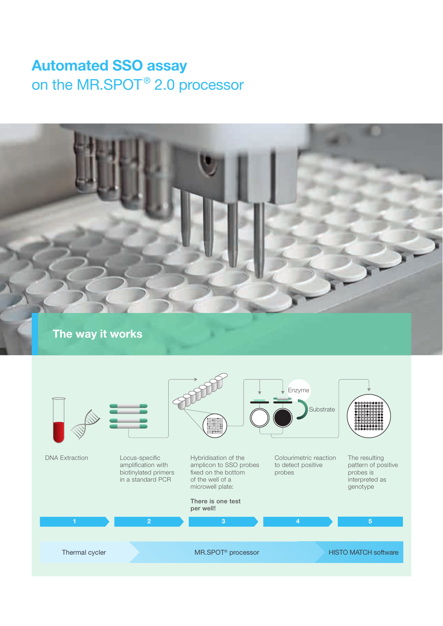# Automated SSO assay on the MR.SPOT<sup>®</sup> 2.0 processor

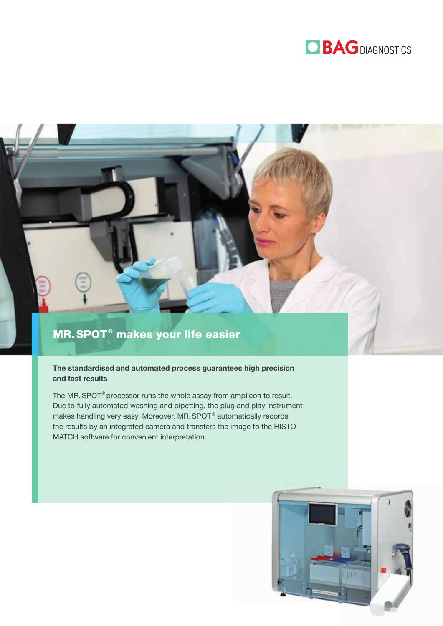

## MR. SPOT<sup>®</sup> makes your life easier

#### The standardised and automated process guarantees high precision and fast results

The MR. SPOT<sup>®</sup> processor runs the whole assay from amplicon to result. Due to fully automated washing and pipetting, the plug and play instrument makes handling very easy. Moreover, MR. SPOT® automatically records the results by an integrated camera and transfers the image to the HISTO MATCH software for convenient interpretation.

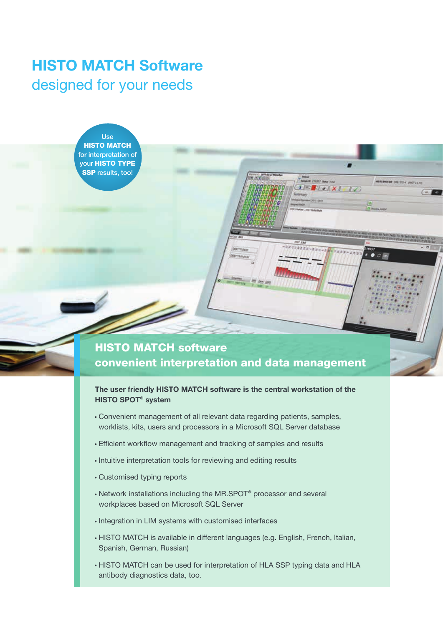# HISTO MATCH Software designed for your needs

Use **HISTO MATCH** for interpretation of your HISTO TYPE SSP results, too!

## HISTO MATCH software convenient interpretation and data management

#### The user friendly HISTO MATCH software is the central workstation of the HISTO SPOT<sup>®</sup> system

- Convenient management of all relevant data regarding patients, samples, worklists, kits, users and processors in a Microsoft SQL Server database
- Efficient work flow management and tracking of samples and results
- $\cdot$  Intuitive interpretation tools for reviewing and editing results
- Customised typing reports
- Network installations including the MR.SPOT® processor and several workplaces based on Microsoft SQL Server
- Integration in LIM systems with customised interfaces
- HISTO MATCH is available in different languages (e.g. English, French, Italian, Spanish, German, Russian)
- HISTO MATCH can be used for interpretation of HLA SSP typing data and HLA antibody diagnostics data, too.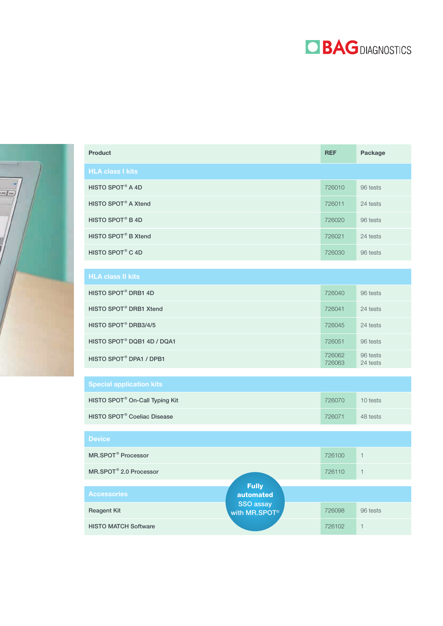



| <b>Product</b>                                | <b>REF</b>       | Package              |
|-----------------------------------------------|------------------|----------------------|
| <b>HLA class I kits</b>                       |                  |                      |
| HISTO SPOT® A 4D                              | 726010           | 96 tests             |
| HISTO SPOT <sup>®</sup> A Xtend               | 726011           | 24 tests             |
| HISTO SPOT® B 4D                              | 726020           | 96 tests             |
| HISTO SPOT <sup>®</sup> B Xtend               | 726021           | 24 tests             |
| HISTO SPOT® C 4D                              | 726030           | 96 tests             |
|                                               |                  |                      |
| <b>HLA class II kits</b>                      |                  |                      |
| HISTO SPOT® DRB1 4D                           | 726040           | 96 tests             |
| HISTO SPOT <sup>®</sup> DRB1 Xtend            | 726041           | 24 tests             |
| HISTO SPOT <sup>®</sup> DRB3/4/5              | 726045           | 24 tests             |
| HISTO SPOT <sup>®</sup> DQB1 4D / DQA1        | 726051           | 96 tests             |
| HISTO SPOT® DPA1 / DPB1                       | 726062<br>726063 | 96 tests<br>24 tests |
|                                               |                  |                      |
| <b>Special application kits</b>               |                  |                      |
| HISTO SPOT <sup>®</sup> On-Call Typing Kit    | 726070           | 10 tests             |
| <b>HISTO SPOT<sup>®</sup> Coeliac Disease</b> | 726071           | 48 tests             |
|                                               |                  |                      |
| <b>Device</b>                                 |                  |                      |
| MR.SPOT <sup>®</sup> Processor                | 726100           | $\mathbf{1}$         |
| MR.SPOT <sup>®</sup> 2.0 Processor            | 726110           | $\mathbf{1}$         |

Reagent Kit **The Contract of Table 12 and Table 126098** 96 tests

Fully automated SSO assay with MR.SPOT<sup>®</sup>

HISTO MATCH Software 726102 1